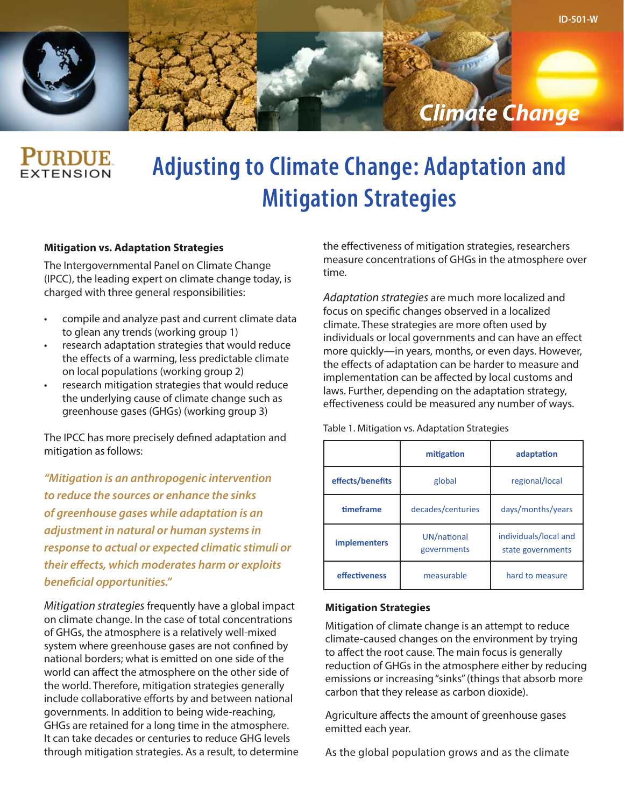

## **TENSION**

### **Adjusting to Climate Change: Adaptation and Mitigation Strategies**

#### **Mitigation vs. Adaptation Strategies**

The Intergovernmental Panel on Climate Change (IPCC), the leading expert on climate change today, is charged with three general responsibilities:

- compile and analyze past and current climate data to glean any trends (working group 1)
- research adaptation strategies that would reduce the effects of a warming, less predictable climate on local populations (working group 2)
- research mitigation strategies that would reduce the underlying cause of climate change such as greenhouse gases (GHGs) (working group 3)

The IPCC has more precisely defined adaptation and mitigation as follows:

*"Mitigation is an anthropogenic intervention to reduce the sources or enhance the sinks of greenhouse gases while adaptation is an adjustment in natural or human systems in response to actual or expected climatic stimuli or their effects, which moderates harm or exploits beneficial opportunities."*

*Mitigation strategies* frequently have a global impact on climate change. In the case of total concentrations of GHGs, the atmosphere is a relatively well-mixed system where greenhouse gases are not confined by national borders; what is emitted on one side of the world can affect the atmosphere on the other side of the world. Therefore, mitigation strategies generally include collaborative efforts by and between national governments. In addition to being wide-reaching, GHGs are retained for a long time in the atmosphere. It can take decades or centuries to reduce GHG levels through mitigation strategies. As a result, to determine the effectiveness of mitigation strategies, researchers measure concentrations of GHGs in the atmosphere over time.

*Adaptation strategies* are much more localized and focus on specific changes observed in a localized climate. These strategies are more often used by individuals or local governments and can have an effect more quickly—in years, months, or even days. However, the effects of adaptation can be harder to measure and implementation can be affected by local customs and laws. Further, depending on the adaptation strategy, effectiveness could be measured any number of ways.

Table 1. Mitigation vs. Adaptation Strategies

|                     | mitigation                 | adaptation                                 |
|---------------------|----------------------------|--------------------------------------------|
| effects/benefits    | regional/local<br>global   |                                            |
| timeframe           | decades/centuries          | days/months/years                          |
| <i>implementers</i> | UN/national<br>governments | individuals/local and<br>state governments |
| effectiveness       | measurable                 |                                            |

#### **Mitigation Strategies**

Mitigation of climate change is an attempt to reduce climate-caused changes on the environment by trying to affect the root cause. The main focus is generally reduction of GHGs in the atmosphere either by reducing emissions or increasing "sinks" (things that absorb more carbon that they release as carbon dioxide).

Agriculture affects the amount of greenhouse gases emitted each year.

As the global population grows and as the climate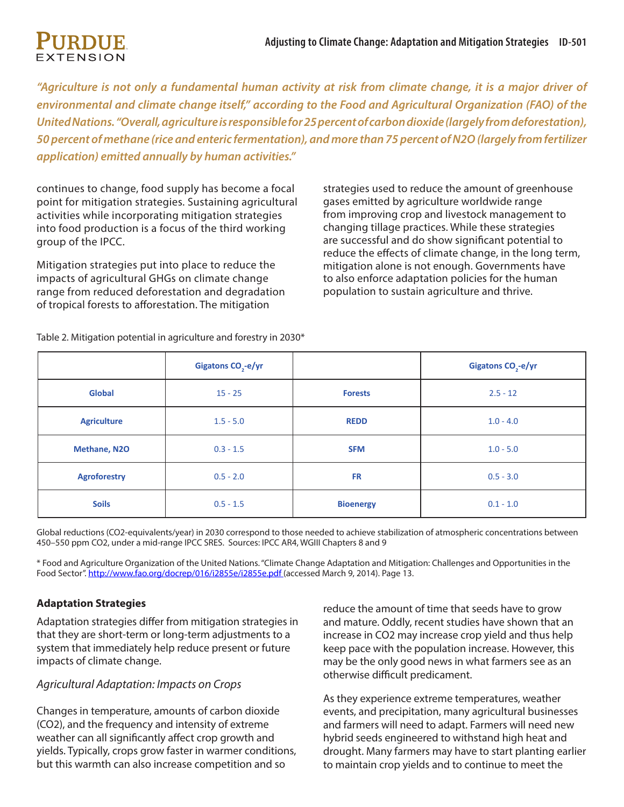*"Agriculture is not only a fundamental human activity at risk from climate change, it is a major driver of environmental and climate change itself," according to the Food and Agricultural Organization (FAO) of the United Nations. "Overall, agriculture is responsible for 25 percent of carbon dioxide (largely from deforestation), 50 percent of methane (rice and enteric fermentation), and more than 75 percent of N2O (largely from fertilizer application) emitted annually by human activities."*

continues to change, food supply has become a focal point for mitigation strategies. Sustaining agricultural activities while incorporating mitigation strategies into food production is a focus of the third working group of the IPCC.

Mitigation strategies put into place to reduce the impacts of agricultural GHGs on climate change range from reduced deforestation and degradation of tropical forests to afforestation. The mitigation

strategies used to reduce the amount of greenhouse gases emitted by agriculture worldwide range from improving crop and livestock management to changing tillage practices. While these strategies are successful and do show significant potential to reduce the effects of climate change, in the long term, mitigation alone is not enough. Governments have to also enforce adaptation policies for the human population to sustain agriculture and thrive.

|                     | Gigatons $CO2-e/yr$ |                  | Gigatons CO <sub>2</sub> -e/yr |
|---------------------|---------------------|------------------|--------------------------------|
| <b>Global</b>       | $15 - 25$           | <b>Forests</b>   | $2.5 - 12$                     |
| <b>Agriculture</b>  | $1.5 - 5.0$         | <b>REDD</b>      | $1.0 - 4.0$                    |
| <b>Methane, N2O</b> | $0.3 - 1.5$         | <b>SFM</b>       | $1.0 - 5.0$                    |
| <b>Agroforestry</b> | $0.5 - 2.0$         | <b>FR</b>        | $0.5 - 3.0$                    |
| <b>Soils</b>        | $0.5 - 1.5$         | <b>Bioenergy</b> | $0.1 - 1.0$                    |

Table 2. Mitigation potential in agriculture and forestry in 2030\*

Global reductions (CO2-equivalents/year) in 2030 correspond to those needed to achieve stabilization of atmospheric concentrations between 450–550 ppm CO2, under a mid-range IPCC SRES. Sources: IPCC AR4, WGIII Chapters 8 and 9

\* Food and Agriculture Organization of the United Nations. "Climate Change Adaptation and Mitigation: Challenges and Opportunities in the Food Sector". [http://www.fao.org/docrep/016/i2855e/i2855e.pdf](http://www.fao.org/docrep/016/i2855e/i2855e.pdf ) (accessed March 9, 2014). Page 13.

### **Adaptation Strategies**

Adaptation strategies differ from mitigation strategies in that they are short-term or long-term adjustments to a system that immediately help reduce present or future impacts of climate change.

### *Agricultural Adaptation: Impacts on Crops*

Changes in temperature, amounts of carbon dioxide (CO2), and the frequency and intensity of extreme weather can all significantly affect crop growth and yields. Typically, crops grow faster in warmer conditions, but this warmth can also increase competition and so

reduce the amount of time that seeds have to grow and mature. Oddly, recent studies have shown that an increase in CO2 may increase crop yield and thus help keep pace with the population increase. However, this may be the only good news in what farmers see as an otherwise difficult predicament.

As they experience extreme temperatures, weather events, and precipitation, many agricultural businesses and farmers will need to adapt. Farmers will need new hybrid seeds engineered to withstand high heat and drought. Many farmers may have to start planting earlier to maintain crop yields and to continue to meet the